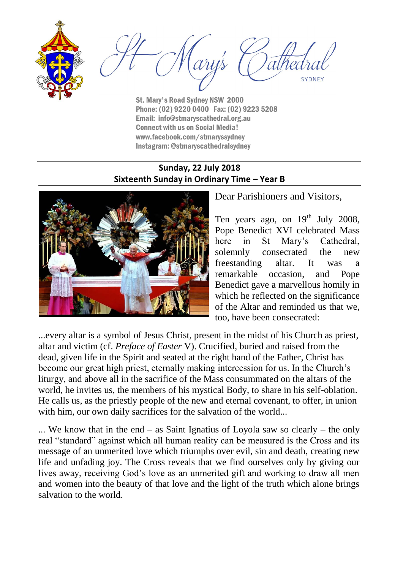



St. Mary's Road Sydney NSW 2000 Phone: (02) 9220 0400 Fax: (02) 9223 5208 Email: info@stmaryscathedral.org.au Connect with us on Social Media! www.facebook.com/stmaryssydney Instagram: @stmaryscathedralsydney

### **Sunday, 22 July 2018 Sixteenth Sunday in Ordinary Time – Year B**



Dear Parishioners and Visitors,

Ten years ago, on  $19<sup>th</sup>$  July 2008, Pope Benedict XVI celebrated Mass here in St Mary's Cathedral, solemnly consecrated the new freestanding altar. It was a remarkable occasion, and Pope Benedict gave a marvellous homily in which he reflected on the significance of the Altar and reminded us that we, too, have been consecrated:

...every altar is a symbol of Jesus Christ, present in the midst of his Church as priest, altar and victim (cf. *Preface of Easter* V). Crucified, buried and raised from the dead, given life in the Spirit and seated at the right hand of the Father, Christ has become our great high priest, eternally making intercession for us. In the Church's liturgy, and above all in the sacrifice of the Mass consummated on the altars of the world, he invites us, the members of his mystical Body, to share in his self-oblation. He calls us, as the priestly people of the new and eternal covenant, to offer, in union with him, our own daily sacrifices for the salvation of the world...

... We know that in the end – as Saint Ignatius of Loyola saw so clearly – the only real "standard" against which all human reality can be measured is the Cross and its message of an unmerited love which triumphs over evil, sin and death, creating new life and unfading joy. The Cross reveals that we find ourselves only by giving our lives away, receiving God's love as an unmerited gift and working to draw all men and women into the beauty of that love and the light of the truth which alone brings salvation to the world.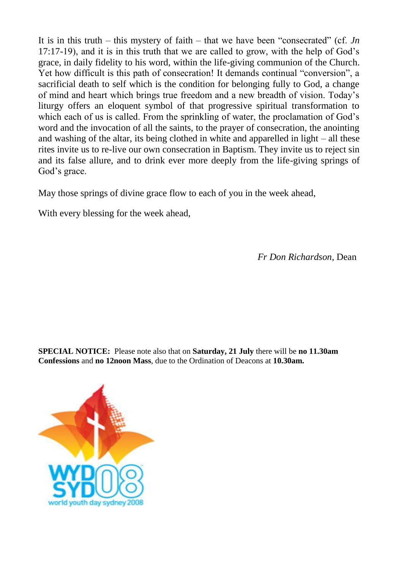It is in this truth – this mystery of faith – that we have been "consecrated" (cf. *Jn* 17:17-19), and it is in this truth that we are called to grow, with the help of God's grace, in daily fidelity to his word, within the life-giving communion of the Church. Yet how difficult is this path of consecration! It demands continual "conversion", a sacrificial death to self which is the condition for belonging fully to God, a change of mind and heart which brings true freedom and a new breadth of vision. Today's liturgy offers an eloquent symbol of that progressive spiritual transformation to which each of us is called. From the sprinkling of water, the proclamation of God's word and the invocation of all the saints, to the prayer of consecration, the anointing and washing of the altar, its being clothed in white and apparelled in light – all these rites invite us to re-live our own consecration in Baptism. They invite us to reject sin and its false allure, and to drink ever more deeply from the life-giving springs of God's grace.

May those springs of divine grace flow to each of you in the week ahead,

With every blessing for the week ahead,

*Fr Don Richardson,* Dean

**SPECIAL NOTICE:** Please note also that on **Saturday, 21 July** there will be **no 11.30am Confessions** and **no 12noon Mass**, due to the Ordination of Deacons at **10.30am.**

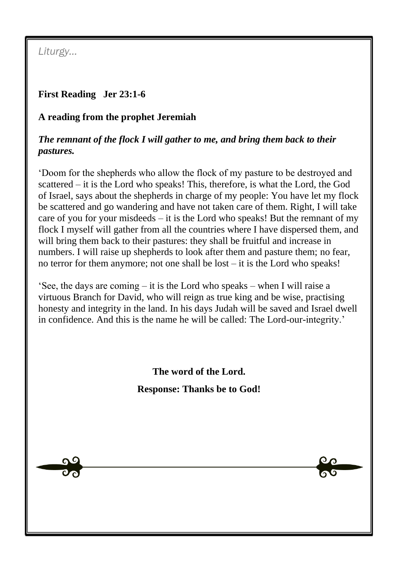*Liturgy…*

# **First Reading Jer 23:1-6**

### **A reading from the prophet Jeremiah**

### *The remnant of the flock I will gather to me, and bring them back to their pastures.*

'Doom for the shepherds who allow the flock of my pasture to be destroyed and scattered – it is the Lord who speaks! This, therefore, is what the Lord, the God of Israel, says about the shepherds in charge of my people: You have let my flock be scattered and go wandering and have not taken care of them. Right, I will take care of you for your misdeeds  $-$  it is the Lord who speaks! But the remnant of my flock I myself will gather from all the countries where I have dispersed them, and will bring them back to their pastures: they shall be fruitful and increase in numbers. I will raise up shepherds to look after them and pasture them; no fear, no terror for them anymore; not one shall be lost – it is the Lord who speaks!

'See, the days are coming – it is the Lord who speaks – when I will raise a virtuous Branch for David, who will reign as true king and be wise, practising honesty and integrity in the land. In his days Judah will be saved and Israel dwell in confidence. And this is the name he will be called: The Lord-our-integrity.'

> **The word of the Lord. Response: Thanks be to God!**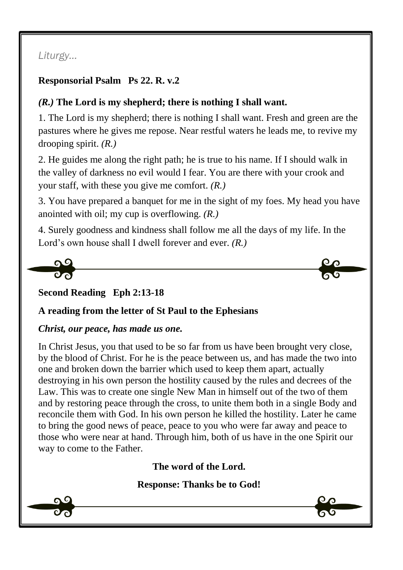# *Liturgy…*

### **Responsorial Psalm Ps 22. R. v.2**

# *(R.)* **The Lord is my shepherd; there is nothing I shall want.**

1. The Lord is my shepherd; there is nothing I shall want. Fresh and green are the pastures where he gives me repose. Near restful waters he leads me, to revive my drooping spirit. *(R.)*

2. He guides me along the right path; he is true to his name. If I should walk in the valley of darkness no evil would I fear. You are there with your crook and your staff, with these you give me comfort. *(R.)*

3. You have prepared a banquet for me in the sight of my foes. My head you have anointed with oil; my cup is overflowing. *(R.)*

4. Surely goodness and kindness shall follow me all the days of my life. In the Lord's own house shall I dwell forever and ever. *(R.)*



**Second Reading Eph 2:13-18**

#### **A reading from the letter of St Paul to the Ephesians**

#### *Christ, our peace, has made us one.*

In Christ Jesus, you that used to be so far from us have been brought very close, by the blood of Christ. For he is the peace between us, and has made the two into one and broken down the barrier which used to keep them apart, actually destroying in his own person the hostility caused by the rules and decrees of the Law. This was to create one single New Man in himself out of the two of them and by restoring peace through the cross, to unite them both in a single Body and reconcile them with God. In his own person he killed the hostility. Later he came to bring the good news of peace, peace to you who were far away and peace to those who were near at hand. Through him, both of us have in the one Spirit our way to come to the Father.

**The word of the Lord.**

**Response: Thanks be to God!**

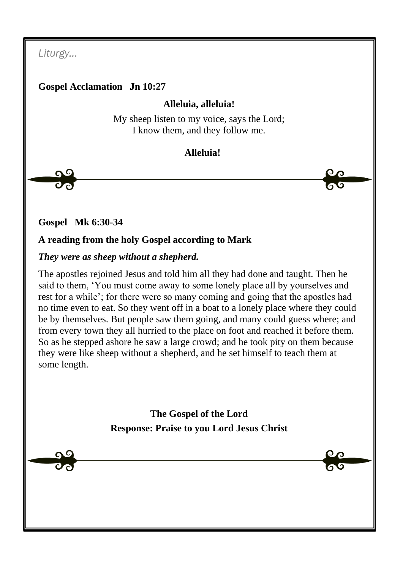*Liturgy…*

### **Gospel Acclamation Jn 10:27**

### **Alleluia, alleluia!**

My sheep listen to my voice, says the Lord; I know them, and they follow me.

# **Alleluia!**

**Gospel Mk 6:30-34**

### **A reading from the holy Gospel according to Mark**

### *They were as sheep without a shepherd.*

The apostles rejoined Jesus and told him all they had done and taught. Then he said to them, 'You must come away to some lonely place all by yourselves and rest for a while'; for there were so many coming and going that the apostles had no time even to eat. So they went off in a boat to a lonely place where they could be by themselves. But people saw them going, and many could guess where; and from every town they all hurried to the place on foot and reached it before them. So as he stepped ashore he saw a large crowd; and he took pity on them because they were like sheep without a shepherd, and he set himself to teach them at some length.

> **The Gospel of the Lord Response: Praise to you Lord Jesus Christ**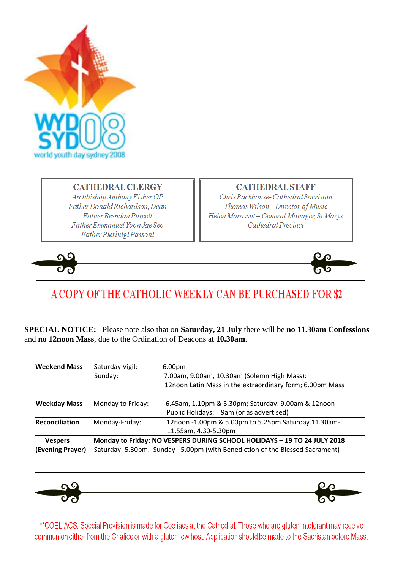

### **CATHEDRAL CLERGY**

Archbishop Anthony Fisher OP Father Donald Richardson, Dean **Father Brendan Purcell** Father Emmanuel Yoon Jae Seo Father Pierluigi Passoni

#### **CATHEDRAL STAFF**

Chris Backhouse-Cathedral Sacristan Thomas Wilson-Director of Music Helen Morassut - General Manager, St Marys Cathedral Precinct





# A COPY OF THE CATHOLIC WEEKLY CAN BE PURCHASED FOR \$2

**SPECIAL NOTICE:** Please note also that on **Saturday, 21 July** there will be **no 11.30am Confessions** and **no 12noon Mass**, due to the Ordination of Deacons at **10.30am**.

| <b>Weekend Mass</b>                | Saturday Vigil:                                                                                                                                          | 6.00pm                                                                                        |
|------------------------------------|----------------------------------------------------------------------------------------------------------------------------------------------------------|-----------------------------------------------------------------------------------------------|
|                                    | Sunday:                                                                                                                                                  | 7.00am, 9.00am, 10.30am (Solemn High Mass);                                                   |
|                                    |                                                                                                                                                          | 12noon Latin Mass in the extraordinary form; 6.00pm Mass                                      |
| <b>Weekday Mass</b>                | Monday to Friday:                                                                                                                                        | 6.45am, 1.10pm & 5.30pm; Saturday: 9.00am & 12noon<br>Public Holidays: 9am (or as advertised) |
| <b>Reconciliation</b>              | Monday-Friday:                                                                                                                                           | 12noon -1.00pm & 5.00pm to 5.25pm Saturday 11.30am-<br>11.55am, 4.30-5.30pm                   |
| <b>Vespers</b><br>(Evening Prayer) | Monday to Friday: NO VESPERS DURING SCHOOL HOLIDAYS - 19 TO 24 JULY 2018<br>Saturday-5.30pm. Sunday - 5.00pm (with Benediction of the Blessed Sacrament) |                                                                                               |



\*\*COELIACS: Special Provision is made for Coeliacs at the Cathedral. Those who are gluten intolerant may receive communion either from the Chalice or with a gluten low host. Application should be made to the Sacristan before Mass.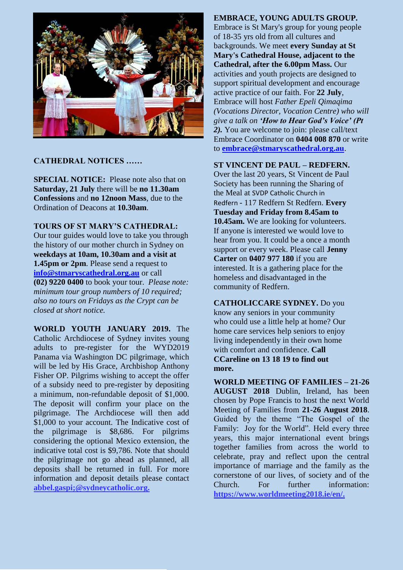

#### **CATHEDRAL NOTICES ……**

**SPECIAL NOTICE:** Please note also that on **Saturday, 21 July** there will be **no 11.30am Confessions** and **no 12noon Mass**, due to the Ordination of Deacons at **10.30am**.

#### **TOURS OF ST MARY'S CATHEDRAL:**

Our tour guides would love to take you through the history of our mother church in Sydney on **weekdays at 10am, 10.30am and a visit at 1.45pm or 2pm.** Please send a request to **[info@stmaryscathedral.org.au](mailto:info@stmaryscathedral.org.au)** or call **(02) 9220 0400** to book your tour. *Please note: minimum tour group numbers of 10 required; also no tours on Fridays as the Crypt can be closed at short notice.*

**WORLD YOUTH JANUARY 2019.** The Catholic Archdiocese of Sydney invites young adults to pre-register for the WYD2019 Panama via Washington DC pilgrimage, which will be led by His Grace, Archbishop Anthony Fisher OP. Pilgrims wishing to accept the offer of a subsidy need to pre-register by depositing a minimum, non-refundable deposit of \$1,000. The deposit will confirm your place on the pilgrimage. The Archdiocese will then add \$1,000 to your account. The Indicative cost of the pilgrimage is \$8,686. For pilgrims considering the optional Mexico extension, the indicative total cost is \$9,786. Note that should the pilgrimage not go ahead as planned, all deposits shall be returned in full. For more information and deposit details please contact **abbel.gaspi;@sydneycatholic.org.**

#### **EMBRACE, YOUNG ADULTS GROUP.**

Embrace is St Mary's group for young people of 18-35 yrs old from all cultures and backgrounds. We meet **every Sunday at St Mary's Cathedral House, adjacent to the Cathedral, after the 6.00pm Mass.** Our activities and youth projects are designed to support spiritual development and encourage active practice of our faith. For **22 July**, Embrace will host *Father Epeli Qimaqima (Vocations Director, Vocation Centre) who will give a talk on 'How to Hear God's Voice' (Pt 2).* You are welcome to join: please call/text Embrace Coordinator on **0404 008 870** or write to **[embrace@stmaryscathedral.org.au](mailto:embrace@stmaryscathedral.org.au)**.

#### **ST VINCENT DE PAUL – REDFERN.**

Over the last 20 years, St Vincent de Paul Society has been running the Sharing of the Meal at SVDP Catholic Church in Redfern - 117 Redfern St Redfern. **Every Tuesday and Friday from 8.45am to 10.45am.** We are looking for volunteers. If anyone is interested we would love to hear from you. It could be a once a month support or every week. Please call **Jenny Carter** on **0407 977 180** if you are interested. It is a gathering place for the homeless and disadvantaged in the community of Redfern.

**CATHOLICCARE SYDNEY.** Do you know any seniors in your community who could use a little help at home? Our home care services help seniors to enjoy living independently in their own home with comfort and confidence. **Call CCareline on 13 18 19 to find out more.**

**WORLD MEETING OF FAMILIES – 21-26 AUGUST 2018** Dublin, Ireland, has been chosen by Pope Francis to host the next World Meeting of Families from **21-26 August 2018**. Guided by the theme "The Gospel of the Family: Joy for the World". Held every three years, this major international event brings together families from across the world to celebrate, pray and reflect upon the central importance of marriage and the family as the cornerstone of our lives, of society and of the Church. For further information: **[https://www.worldmeeting2018.ie/en/.](https://www.worldmeeting2018.ie/en/)**